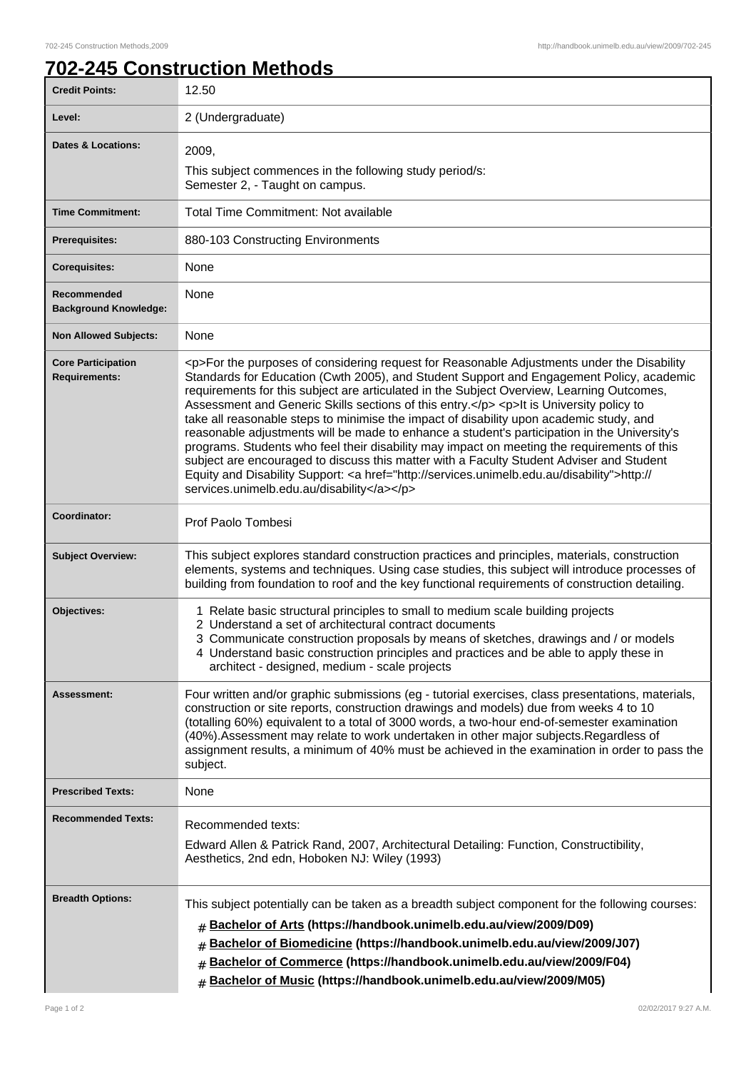٦

## **702-245 Construction Methods**

| <b>Credit Points:</b>                             | 12.50                                                                                                                                                                                                                                                                                                                                                                                                                                                                                                                                                                                                                                                                                                                                                                                                                                                                                                                     |
|---------------------------------------------------|---------------------------------------------------------------------------------------------------------------------------------------------------------------------------------------------------------------------------------------------------------------------------------------------------------------------------------------------------------------------------------------------------------------------------------------------------------------------------------------------------------------------------------------------------------------------------------------------------------------------------------------------------------------------------------------------------------------------------------------------------------------------------------------------------------------------------------------------------------------------------------------------------------------------------|
| Level:                                            | 2 (Undergraduate)                                                                                                                                                                                                                                                                                                                                                                                                                                                                                                                                                                                                                                                                                                                                                                                                                                                                                                         |
| <b>Dates &amp; Locations:</b>                     | 2009,<br>This subject commences in the following study period/s:<br>Semester 2, - Taught on campus.                                                                                                                                                                                                                                                                                                                                                                                                                                                                                                                                                                                                                                                                                                                                                                                                                       |
| <b>Time Commitment:</b>                           | <b>Total Time Commitment: Not available</b>                                                                                                                                                                                                                                                                                                                                                                                                                                                                                                                                                                                                                                                                                                                                                                                                                                                                               |
| <b>Prerequisites:</b>                             | 880-103 Constructing Environments                                                                                                                                                                                                                                                                                                                                                                                                                                                                                                                                                                                                                                                                                                                                                                                                                                                                                         |
| <b>Corequisites:</b>                              | None                                                                                                                                                                                                                                                                                                                                                                                                                                                                                                                                                                                                                                                                                                                                                                                                                                                                                                                      |
| Recommended<br><b>Background Knowledge:</b>       | None                                                                                                                                                                                                                                                                                                                                                                                                                                                                                                                                                                                                                                                                                                                                                                                                                                                                                                                      |
| <b>Non Allowed Subjects:</b>                      | None                                                                                                                                                                                                                                                                                                                                                                                                                                                                                                                                                                                                                                                                                                                                                                                                                                                                                                                      |
| <b>Core Participation</b><br><b>Requirements:</b> | <p>For the purposes of considering request for Reasonable Adjustments under the Disability<br/>Standards for Education (Cwth 2005), and Student Support and Engagement Policy, academic<br/>requirements for this subject are articulated in the Subject Overview, Learning Outcomes,<br/>Assessment and Generic Skills sections of this entry.</p> <p>lt is University policy to<br/>take all reasonable steps to minimise the impact of disability upon academic study, and<br/>reasonable adjustments will be made to enhance a student's participation in the University's<br/>programs. Students who feel their disability may impact on meeting the requirements of this<br/>subject are encouraged to discuss this matter with a Faculty Student Adviser and Student<br/>Equity and Disability Support: <a href="http://services.unimelb.edu.au/disability">http://<br/>services.unimelb.edu.au/disability</a></p> |
| Coordinator:                                      | Prof Paolo Tombesi                                                                                                                                                                                                                                                                                                                                                                                                                                                                                                                                                                                                                                                                                                                                                                                                                                                                                                        |
| <b>Subject Overview:</b>                          | This subject explores standard construction practices and principles, materials, construction<br>elements, systems and techniques. Using case studies, this subject will introduce processes of<br>building from foundation to roof and the key functional requirements of construction detailing.                                                                                                                                                                                                                                                                                                                                                                                                                                                                                                                                                                                                                        |
| Objectives:                                       | 1 Relate basic structural principles to small to medium scale building projects<br>2 Understand a set of architectural contract documents<br>3 Communicate construction proposals by means of sketches, drawings and / or models<br>4 Understand basic construction principles and practices and be able to apply these in<br>architect - designed, medium - scale projects                                                                                                                                                                                                                                                                                                                                                                                                                                                                                                                                               |
| Assessment:                                       | Four written and/or graphic submissions (eg - tutorial exercises, class presentations, materials,<br>construction or site reports, construction drawings and models) due from weeks 4 to 10<br>(totalling 60%) equivalent to a total of 3000 words, a two-hour end-of-semester examination<br>(40%). Assessment may relate to work undertaken in other major subjects. Regardless of<br>assignment results, a minimum of 40% must be achieved in the examination in order to pass the<br>subject.                                                                                                                                                                                                                                                                                                                                                                                                                         |
| <b>Prescribed Texts:</b>                          | None                                                                                                                                                                                                                                                                                                                                                                                                                                                                                                                                                                                                                                                                                                                                                                                                                                                                                                                      |
| <b>Recommended Texts:</b>                         | Recommended texts:<br>Edward Allen & Patrick Rand, 2007, Architectural Detailing: Function, Constructibility,<br>Aesthetics, 2nd edn, Hoboken NJ: Wiley (1993)                                                                                                                                                                                                                                                                                                                                                                                                                                                                                                                                                                                                                                                                                                                                                            |
| <b>Breadth Options:</b>                           | This subject potentially can be taken as a breadth subject component for the following courses:<br>Bachelor of Arts (https://handbook.unimelb.edu.au/view/2009/D09)<br>#<br>Bachelor of Biomedicine (https://handbook.unimelb.edu.au/view/2009/J07)<br>#<br>Bachelor of Commerce (https://handbook.unimelb.edu.au/view/2009/F04)<br>#<br>Bachelor of Music (https://handbook.unimelb.edu.au/view/2009/M05)<br>#                                                                                                                                                                                                                                                                                                                                                                                                                                                                                                           |